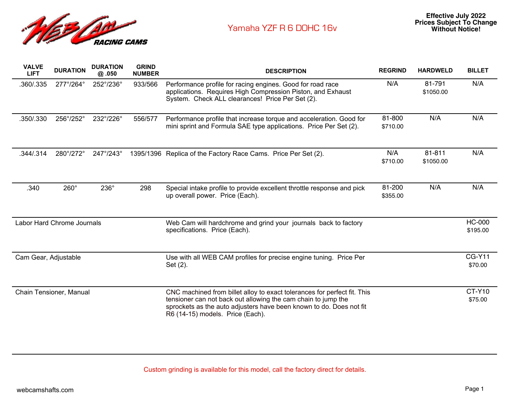

| <b>VALVE</b><br><b>LIFT</b> | <b>DURATION</b> | <b>DURATION</b><br>@.050 | <b>GRIND</b><br><b>NUMBER</b> | <b>DESCRIPTION</b>                                                                                                                                                                                                                                   | <b>REGRIND</b>     | <b>HARDWELD</b>     | <b>BILLET</b>             |
|-----------------------------|-----------------|--------------------------|-------------------------------|------------------------------------------------------------------------------------------------------------------------------------------------------------------------------------------------------------------------------------------------------|--------------------|---------------------|---------------------------|
| .360/.335                   | 277°/264°       | 252°/236°                | 933/566                       | Performance profile for racing engines. Good for road race<br>applications. Requires High Compression Piston, and Exhaust<br>System. Check ALL clearances! Price Per Set (2).                                                                        | N/A                | 81-791<br>\$1050.00 | N/A                       |
| .350/.330                   | 256°/252°       | 232°/226°                | 556/577                       | Performance profile that increase torque and acceleration. Good for<br>mini sprint and Formula SAE type applications. Price Per Set (2).                                                                                                             | 81-800<br>\$710.00 | N/A                 | N/A                       |
| .344/.314                   | 280°/272°       | 247°/243°                |                               | 1395/1396 Replica of the Factory Race Cams. Price Per Set (2).                                                                                                                                                                                       | N/A<br>\$710.00    | 81-811<br>\$1050.00 | N/A                       |
| .340                        | $260^\circ$     | 236°                     | 298                           | Special intake profile to provide excellent throttle response and pick<br>up overall power. Price (Each).                                                                                                                                            | 81-200<br>\$355.00 | N/A                 | N/A                       |
| Labor Hard Chrome Journals  |                 |                          |                               | Web Cam will hardchrome and grind your journals back to factory<br>specifications. Price (Each).                                                                                                                                                     |                    |                     | <b>HC-000</b><br>\$195.00 |
| Cam Gear, Adjustable        |                 |                          |                               | Use with all WEB CAM profiles for precise engine tuning. Price Per<br>Set (2).                                                                                                                                                                       |                    |                     | <b>CG-Y11</b><br>\$70.00  |
| Chain Tensioner, Manual     |                 |                          |                               | CNC machined from billet alloy to exact tolerances for perfect fit. This<br>tensioner can not back out allowing the cam chain to jump the<br>sprockets as the auto adjusters have been known to do. Does not fit<br>R6 (14-15) models. Price (Each). |                    |                     | <b>CT-Y10</b><br>\$75.00  |